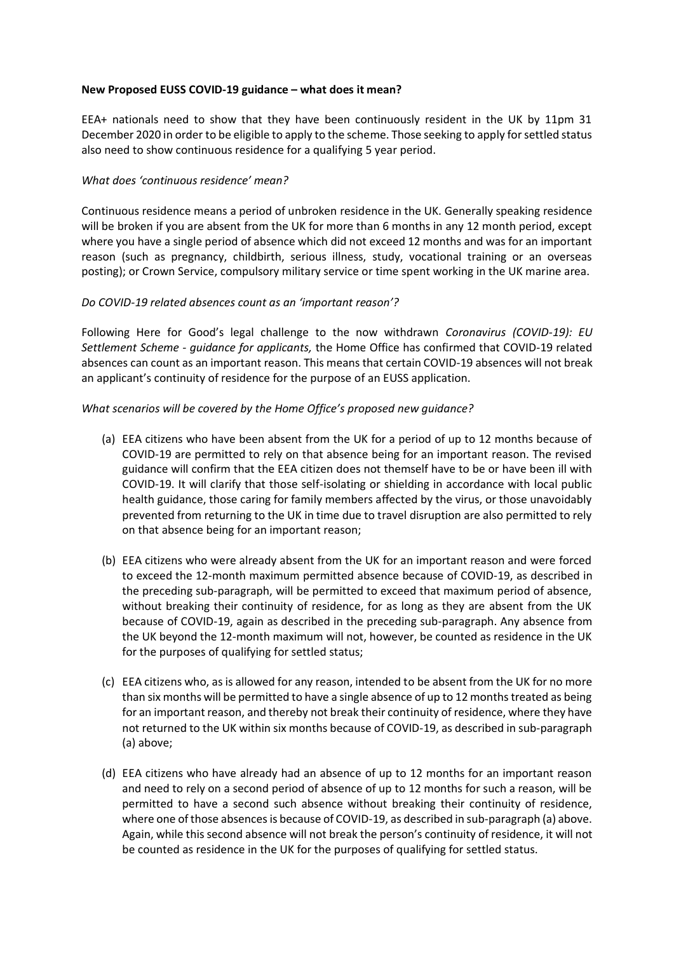## **New Proposed EUSS COVID-19 guidance – what does it mean?**

EEA+ nationals need to show that they have been continuously resident in the UK by 11pm 31 December 2020 in order to be eligible to apply to the scheme. Those seeking to apply for settled status also need to show continuous residence for a qualifying 5 year period.

## *What does 'continuous residence' mean?*

Continuous residence means a period of unbroken residence in the UK. Generally speaking residence will be broken if you are absent from the UK for more than 6 months in any 12 month period, except where you have a single period of absence which did not exceed 12 months and was for an important reason (such as pregnancy, childbirth, serious illness, study, vocational training or an overseas posting); or Crown Service, compulsory military service or time spent working in the UK marine area.

## *Do COVID-19 related absences count as an 'important reason'?*

Following Here for Good's legal challenge to the now withdrawn *Coronavirus (COVID-19): EU Settlement Scheme - guidance for applicants,* the Home Office has confirmed that COVID-19 related absences can count as an important reason. This means that certain COVID-19 absences will not break an applicant's continuity of residence for the purpose of an EUSS application.

## *What scenarios will be covered by the Home Office's proposed new guidance?*

- (a) EEA citizens who have been absent from the UK for a period of up to 12 months because of COVID-19 are permitted to rely on that absence being for an important reason. The revised guidance will confirm that the EEA citizen does not themself have to be or have been ill with COVID-19. It will clarify that those self-isolating or shielding in accordance with local public health guidance, those caring for family members affected by the virus, or those unavoidably prevented from returning to the UK in time due to travel disruption are also permitted to rely on that absence being for an important reason;
- (b) EEA citizens who were already absent from the UK for an important reason and were forced to exceed the 12-month maximum permitted absence because of COVID-19, as described in the preceding sub-paragraph, will be permitted to exceed that maximum period of absence, without breaking their continuity of residence, for as long as they are absent from the UK because of COVID-19, again as described in the preceding sub-paragraph. Any absence from the UK beyond the 12-month maximum will not, however, be counted as residence in the UK for the purposes of qualifying for settled status;
- (c) EEA citizens who, as is allowed for any reason, intended to be absent from the UK for no more than six months will be permitted to have a single absence of up to 12 months treated as being for an important reason, and thereby not break their continuity of residence, where they have not returned to the UK within six months because of COVID-19, as described in sub-paragraph (a) above;
- (d) EEA citizens who have already had an absence of up to 12 months for an important reason and need to rely on a second period of absence of up to 12 months for such a reason, will be permitted to have a second such absence without breaking their continuity of residence, where one of those absences is because of COVID-19, as described in sub-paragraph (a) above. Again, while this second absence will not break the person's continuity of residence, it will not be counted as residence in the UK for the purposes of qualifying for settled status.